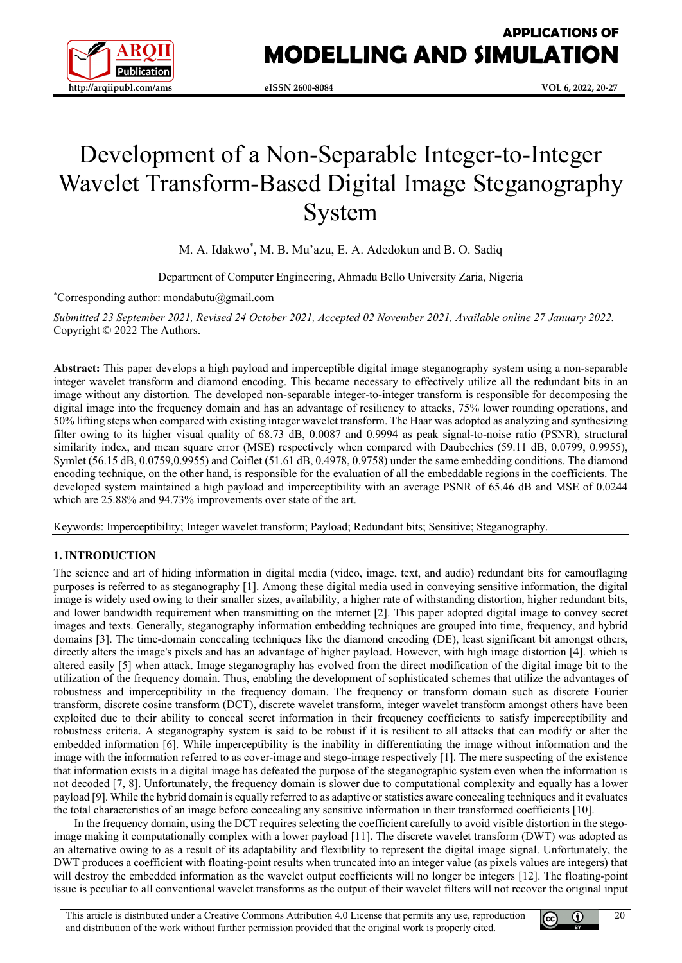

# **APPLICATIONS OF MODELLING AND SIMULATION**

# Development of a Non-Separable Integer-to-Integer Wavelet Transform-Based Digital Image Steganography System

M. A. Idakwo\* , M. B. Mu'azu, E. A. Adedokun and B. O. Sadiq

Department of Computer Engineering, Ahmadu Bello University Zaria, Nigeria

\* Corresponding author: mondabutu@gmail.com

*Submitted 23 September 2021, Revised 24 October 2021, Accepted 02 November 2021, Available online 27 January 2022.* Copyright © 2022 The Authors.

**Abstract:** This paper develops a high payload and imperceptible digital image steganography system using a non-separable integer wavelet transform and diamond encoding. This became necessary to effectively utilize all the redundant bits in an image without any distortion. The developed non-separable integer-to-integer transform is responsible for decomposing the digital image into the frequency domain and has an advantage of resiliency to attacks, 75% lower rounding operations, and 50% lifting steps when compared with existing integer wavelet transform. The Haar was adopted as analyzing and synthesizing filter owing to its higher visual quality of 68.73 dB, 0.0087 and 0.9994 as peak signal-to-noise ratio (PSNR), structural similarity index, and mean square error (MSE) respectively when compared with Daubechies (59.11 dB, 0.0799, 0.9955), Symlet (56.15 dB, 0.0759,0.9955) and Coiflet (51.61 dB, 0.4978, 0.9758) under the same embedding conditions. The diamond encoding technique, on the other hand, is responsible for the evaluation of all the embeddable regions in the coefficients. The developed system maintained a high payload and imperceptibility with an average PSNR of 65.46 dB and MSE of 0.0244 which are 25.88% and 94.73% improvements over state of the art.

Keywords: Imperceptibility; Integer wavelet transform; Payload; Redundant bits; Sensitive; Steganography.

# **1. INTRODUCTION**

The science and art of hiding information in digital media (video, image, text, and audio) redundant bits for camouflaging purposes is referred to as steganography [1]. Among these digital media used in conveying sensitive information, the digital image is widely used owing to their smaller sizes, availability, a higher rate of withstanding distortion, higher redundant bits, and lower bandwidth requirement when transmitting on the internet [2]. This paper adopted digital image to convey secret images and texts. Generally, steganography information embedding techniques are grouped into time, frequency, and hybrid domains [3]. The time-domain concealing techniques like the diamond encoding (DE), least significant bit amongst others, directly alters the image's pixels and has an advantage of higher payload. However, with high image distortion [4]. which is altered easily [5] when attack. Image steganography has evolved from the direct modification of the digital image bit to the utilization of the frequency domain. Thus, enabling the development of sophisticated schemes that utilize the advantages of robustness and imperceptibility in the frequency domain. The frequency or transform domain such as discrete Fourier transform, discrete cosine transform (DCT), discrete wavelet transform, integer wavelet transform amongst others have been exploited due to their ability to conceal secret information in their frequency coefficients to satisfy imperceptibility and robustness criteria. A steganography system is said to be robust if it is resilient to all attacks that can modify or alter the embedded information [6]. While imperceptibility is the inability in differentiating the image without information and the image with the information referred to as cover-image and stego-image respectively [1]. The mere suspecting of the existence that information exists in a digital image has defeated the purpose of the steganographic system even when the information is not decoded [7, 8]. Unfortunately, the frequency domain is slower due to computational complexity and equally has a lower payload [9]. While the hybrid domain is equally referred to as adaptive or statistics aware concealing techniques and it evaluates the total characteristics of an image before concealing any sensitive information in their transformed coefficients [10].

In the frequency domain, using the DCT requires selecting the coefficient carefully to avoid visible distortion in the stegoimage making it computationally complex with a lower payload [11]. The discrete wavelet transform (DWT) was adopted as an alternative owing to as a result of its adaptability and flexibility to represent the digital image signal. Unfortunately, the DWT produces a coefficient with floating-point results when truncated into an integer value (as pixels values are integers) that will destroy the embedded information as the wavelet output coefficients will no longer be integers [12]. The floating-point issue is peculiar to all conventional wavelet transforms as the output of their wavelet filters will not recover the original input



20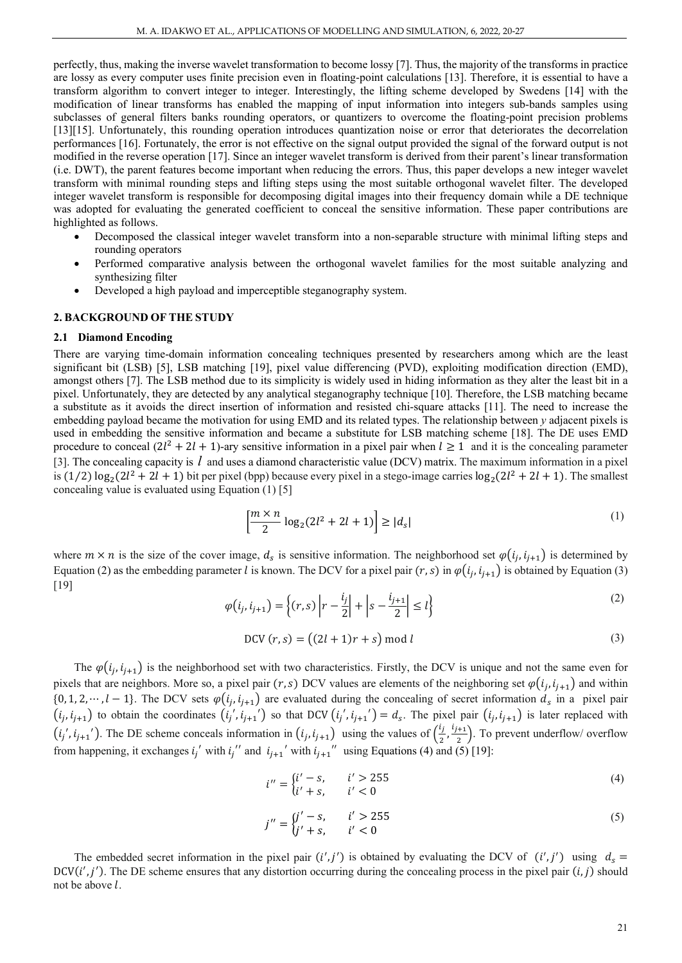perfectly, thus, making the inverse wavelet transformation to become lossy [7]. Thus, the majority of the transforms in practice are lossy as every computer uses finite precision even in floating-point calculations [13]. Therefore, it is essential to have a transform algorithm to convert integer to integer. Interestingly, the lifting scheme developed by Swedens [14] with the modification of linear transforms has enabled the mapping of input information into integers sub-bands samples using subclasses of general filters banks rounding operators, or quantizers to overcome the floating-point precision problems [13][15]. Unfortunately, this rounding operation introduces quantization noise or error that deteriorates the decorrelation performances [16]. Fortunately, the error is not effective on the signal output provided the signal of the forward output is not modified in the reverse operation [17]. Since an integer wavelet transform is derived from their parent's linear transformation (i.e. DWT), the parent features become important when reducing the errors. Thus, this paper develops a new integer wavelet transform with minimal rounding steps and lifting steps using the most suitable orthogonal wavelet filter. The developed integer wavelet transform is responsible for decomposing digital images into their frequency domain while a DE technique was adopted for evaluating the generated coefficient to conceal the sensitive information. These paper contributions are highlighted as follows.

- Decomposed the classical integer wavelet transform into a non-separable structure with minimal lifting steps and rounding operators
- Performed comparative analysis between the orthogonal wavelet families for the most suitable analyzing and synthesizing filter
- Developed a high payload and imperceptible steganography system.

## **2. BACKGROUND OF THE STUDY**

#### **2.1 Diamond Encoding**

There are varying time-domain information concealing techniques presented by researchers among which are the least significant bit (LSB) [5], LSB matching [19], pixel value differencing (PVD), exploiting modification direction (EMD), amongst others [7]. The LSB method due to its simplicity is widely used in hiding information as they alter the least bit in a pixel. Unfortunately, they are detected by any analytical steganography technique [10]. Therefore, the LSB matching became a substitute as it avoids the direct insertion of information and resisted chi-square attacks [11]. The need to increase the embedding payload became the motivation for using EMD and its related types. The relationship between *y* adjacent pixels is used in embedding the sensitive information and became a substitute for LSB matching scheme [18]. The DE uses EMD procedure to conceal  $(2l^2 + 2l + 1)$ -ary sensitive information in a pixel pair when  $l \ge 1$  and it is the concealing parameter [3]. The concealing capacity is *l* and uses a diamond characteristic value (DCV) matrix. The maximum information in a pixel is  $(1/2) \log_2(2l^2 + 2l + 1)$  bit per pixel (bpp) because every pixel in a stego-image carries  $\log_2(2l^2 + 2l + 1)$ . The smallest concealing value is evaluated using Equation (1) [5]

$$
\left[\frac{m \times n}{2} \log_2(2l^2 + 2l + 1)\right] \ge |d_s| \tag{1}
$$

where  $m \times n$  is the size of the cover image,  $d_s$  is sensitive information. The neighborhood set  $\varphi(i_j, i_{j+1})$  is determined by Equation (2) as the embedding parameter *l* is known. The DCV for a pixel pair  $(r, s)$  in  $\varphi(i_i, i_{i+1})$  is obtained by Equation (3) [19]

$$
\varphi(i_j, i_{j+1}) = \left\{ (r, s) \left| r - \frac{i_j}{2} \right| + \left| s - \frac{i_{j+1}}{2} \right| \le l \right\}
$$
\n(2)

$$
DCV(r,s) = ((2l + 1)r + s) \bmod l
$$
\n(3)

The  $\varphi(i_j, i_{j+1})$  is the neighborhood set with two characteristics. Firstly, the DCV is unique and not the same even for pixels that are neighbors. More so, a pixel pair  $(r, s)$  DCV values are elements of the neighboring set  $\varphi(i_i, i_{i+1})$  and within  $\{0, 1, 2, \dots, l-1\}$ . The DCV sets  $\varphi(i_j, i_{j+1})$  are evaluated during the concealing of secret information  $d_s$  in a pixel pair  $(i_j, i_{j+1})$  to obtain the coordinates  $(i_j', i_{j+1}')$  so that DCV  $(i_j', i_{j+1}') = d_s$ . The pixel pair  $(i_j, i_{j+1})$  is later replaced with  $(i_j', i_{j+1}')$ . The DE scheme conceals information in  $(i_j, i_{j+1})$  using the values of  $(\frac{i_j}{2}, \frac{i_{j+1}}{2})$ . To prevent underflow/ overflow from happening, it exchanges  $i_j'$  with  $i_j''$  and  $i_{j+1}'$  with  $i_{j+1}''$  using Equations (4) and (5) [19]:

$$
i'' = \begin{cases} i' - s, & i' > 255 \\ i' + s, & i' < 0 \end{cases} \tag{4}
$$

$$
j'' = \begin{cases} j' - s, & i' > 255 \\ j' + s, & i' < 0 \end{cases} \tag{5}
$$

The embedded secret information in the pixel pair  $(i', j')$  is obtained by evaluating the DCV of  $(i', j')$  using  $d_s =$  $DCV(i', j')$ . The DE scheme ensures that any distortion occurring during the concealing process in the pixel pair  $(i, j)$  should not be above *l*.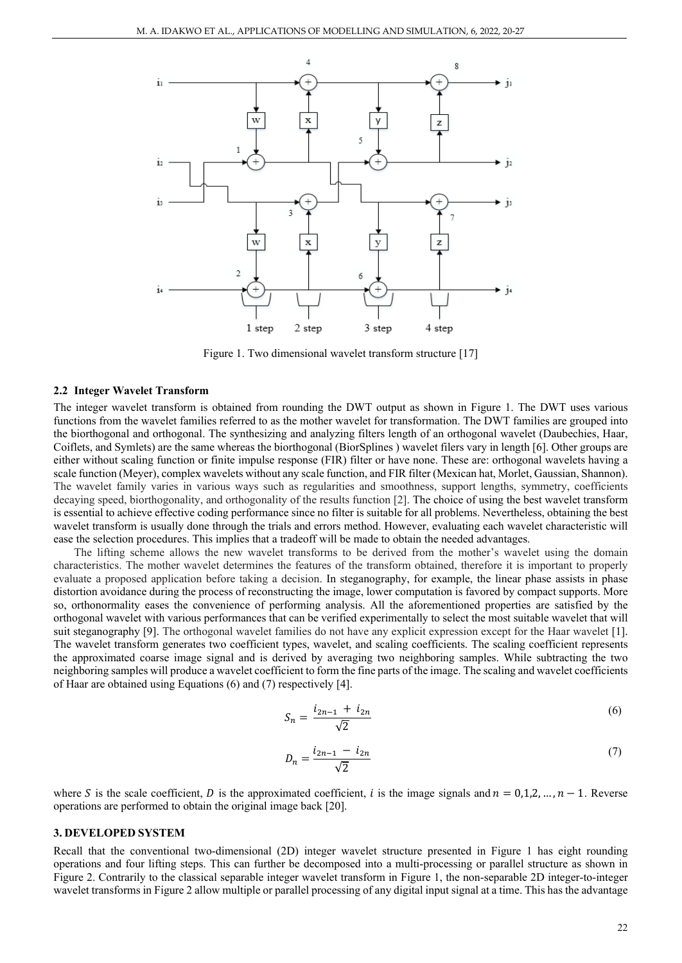

Figure 1. Two dimensional wavelet transform structure [17]

#### **2.2 Integer Wavelet Transform**

The integer wavelet transform is obtained from rounding the DWT output as shown in Figure 1. The DWT uses various functions from the wavelet families referred to as the mother wavelet for transformation. The DWT families are grouped into the biorthogonal and orthogonal. The synthesizing and analyzing filters length of an orthogonal wavelet (Daubechies, Haar, Coiflets, and Symlets) are the same whereas the biorthogonal (BiorSplines ) wavelet filers vary in length [6]. Other groups are either without scaling function or finite impulse response (FIR) filter or have none. These are: orthogonal wavelets having a scale function (Meyer), complex wavelets without any scale function, and FIR filter (Mexican hat, Morlet, Gaussian, Shannon). The wavelet family varies in various ways such as regularities and smoothness, support lengths, symmetry, coefficients decaying speed, biorthogonality, and orthogonality of the results function [2]. The choice of using the best wavelet transform is essential to achieve effective coding performance since no filter is suitable for all problems. Nevertheless, obtaining the best wavelet transform is usually done through the trials and errors method. However, evaluating each wavelet characteristic will ease the selection procedures. This implies that a tradeoff will be made to obtain the needed advantages.

The lifting scheme allows the new wavelet transforms to be derived from the mother's wavelet using the domain characteristics. The mother wavelet determines the features of the transform obtained, therefore it is important to properly evaluate a proposed application before taking a decision. In steganography, for example, the linear phase assists in phase distortion avoidance during the process of reconstructing the image, lower computation is favored by compact supports. More so, orthonormality eases the convenience of performing analysis. All the aforementioned properties are satisfied by the orthogonal wavelet with various performances that can be verified experimentally to select the most suitable wavelet that will suit steganography [9]. The orthogonal wavelet families do not have any explicit expression except for the Haar wavelet [1]. The wavelet transform generates two coefficient types, wavelet, and scaling coefficients. The scaling coefficient represents the approximated coarse image signal and is derived by averaging two neighboring samples. While subtracting the two neighboring samples will produce a wavelet coefficient to form the fine parts of the image. The scaling and wavelet coefficients of Haar are obtained using Equations (6) and (7) respectively [4].

$$
S_n = \frac{i_{2n-1} + i_{2n}}{\sqrt{2}}\tag{6}
$$

$$
D_n = \frac{i_{2n-1} - i_{2n}}{\sqrt{2}}\tag{7}
$$

where S is the scale coefficient, D is the approximated coefficient, i is the image signals and  $n = 0,1,2,..., n - 1$ . Reverse operations are performed to obtain the original image back [20].

#### **3. DEVELOPED SYSTEM**

Recall that the conventional two-dimensional (2D) integer wavelet structure presented in Figure 1 has eight rounding operations and four lifting steps. This can further be decomposed into a multi-processing or parallel structure as shown in Figure 2. Contrarily to the classical separable integer wavelet transform in Figure 1, the non-separable 2D integer-to-integer wavelet transforms in Figure 2 allow multiple or parallel processing of any digital input signal at a time. This has the advantage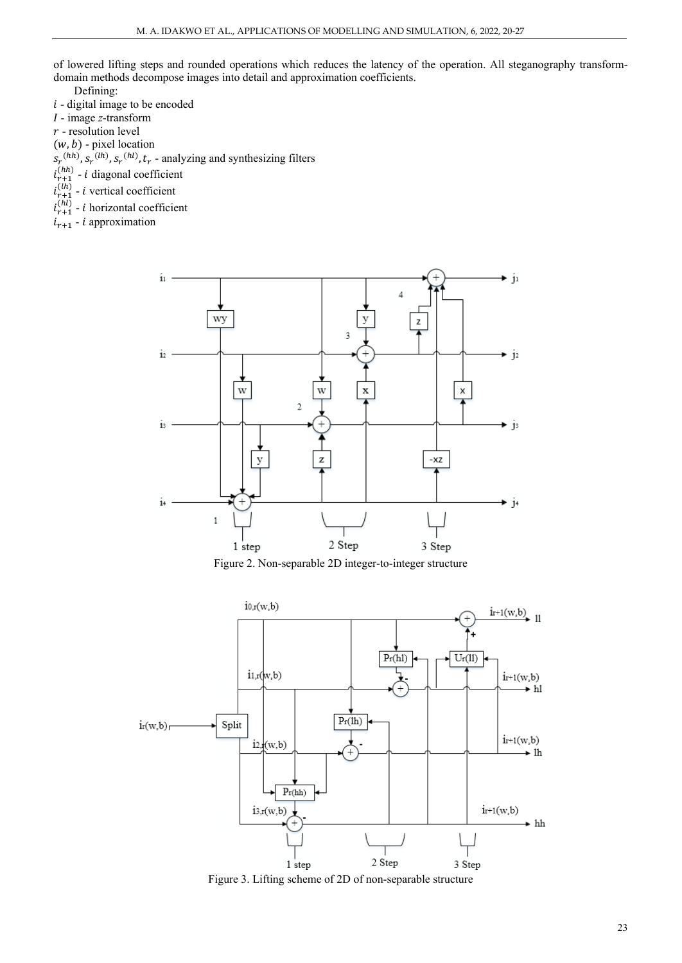of lowered lifting steps and rounded operations which reduces the latency of the operation. All steganography transformdomain methods decompose images into detail and approximation coefficients.

Defining:

- $i$  digital image to be encoded
- image *z*-transform
- $r$  resolution level
- $(w, b)$  pixel location
- $S_r^{(hh)}, S_r^{(hl)}, S_r^{(hl)}, t_r$  analyzing and synthesizing filters
- $i_{r+1}^{(hn)}$  *i* diagonal coefficient
- $i_{r+1}^{(ln)}$  *i* vertical coefficient
- $i_{r+1}^{(hl)}$  *i* horizontal coefficient
- $i_{r+1}$   $i$  approximation



Figure 2. Non-separable 2D integer-to-integer structure



Figure 3. Lifting scheme of 2D of non-separable structure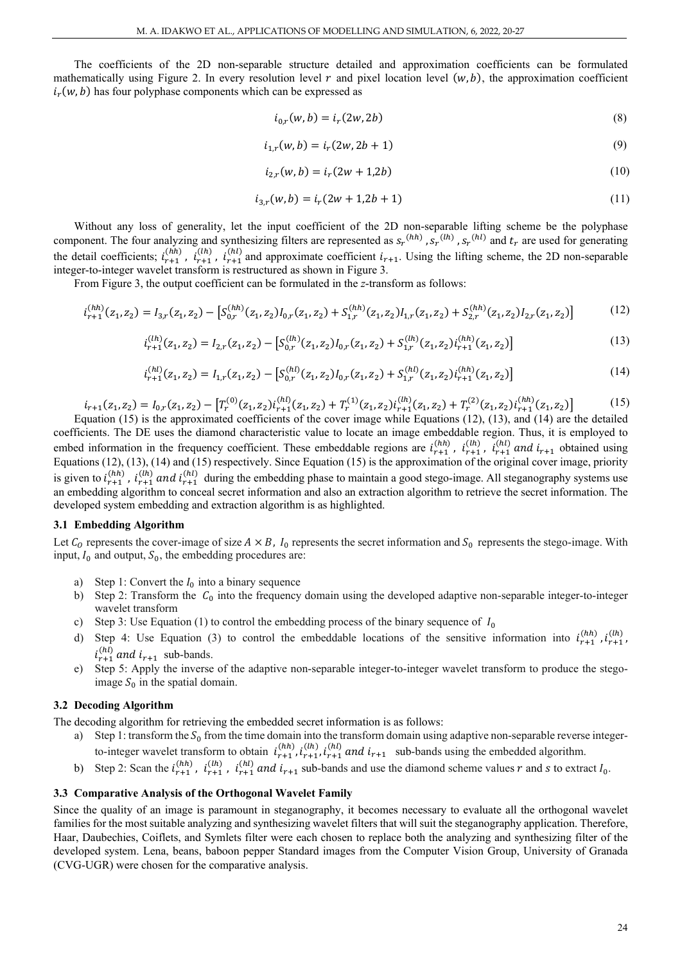The coefficients of the 2D non-separable structure detailed and approximation coefficients can be formulated mathematically using Figure 2. In every resolution level  $r$  and pixel location level  $(w, b)$ , the approximation coefficient  $i_r(w, b)$  has four polyphase components which can be expressed as

$$
i_{0,r}(w,b) = i_r(2w, 2b)
$$
 (8)

$$
i_{1,r}(w,b) = i_r(2w, 2b+1)
$$
\n(9)

$$
i_{2,r}(w,b) = i_r(2w+1,2b)
$$
 (10)

$$
i_{3,r}(w,b) = i_r(2w+1,2b+1)
$$
\n(11)

Without any loss of generality, let the input coefficient of the 2D non-separable lifting scheme be the polyphase component. The four analyzing and synthesizing filters are represented as  $s_r^{(hh)}$ ,  $s_r^{(lh)}$ ,  $s_r^{(hl)}$  and  $t_r$  are used for generating the detail coefficients;  $i_{r+1}^{(hn)}$ ,  $i_{r+1}^{(h)}$ ,  $i_{r+1}^{(h)}$  and approximate coefficient  $i_{r+1}$ . Using the lifting scheme, the 2D non-separable integer-to-integer wavelet transform is restructured as shown in Figure 3.

From Figure 3, the output coefficient can be formulated in the *z*-transform as follows:

$$
i_{r+1}^{(hh)}(z_1, z_2) = I_{3,r}(z_1, z_2) - \left[ S_{0,r}^{(hh)}(z_1, z_2) I_{0,r}(z_1, z_2) + S_{1,r}^{(hh)}(z_1, z_2) I_{1,r}(z_1, z_2) + S_{2,r}^{(hh)}(z_1, z_2) I_{2,r}(z_1, z_2) \right]
$$
(12)

$$
i_{r+1}^{(lh)}(z_1, z_2) = I_{2,r}(z_1, z_2) - \left[ S_{0,r}^{(lh)}(z_1, z_2) I_{0,r}(z_1, z_2) + S_{1,r}^{(lh)}(z_1, z_2) I_{r+1}^{(hh)}(z_1, z_2) \right]
$$
(13)

$$
i_{r+1}^{(hl)}(z_1, z_2) = I_{1,r}(z_1, z_2) - \left[ S_{0,r}^{(hl)}(z_1, z_2) I_{0,r}(z_1, z_2) + S_{1,r}^{(hl)}(z_1, z_2) i_{r+1}^{(hh)}(z_1, z_2) \right]
$$
(14)

$$
i_{r+1}(z_1, z_2) = I_{0,r}(z_1, z_2) - [T_r^{(0)}(z_1, z_2)i_{r+1}^{(hl)}(z_1, z_2) + T_r^{(1)}(z_1, z_2)i_{r+1}^{(lh)}(z_1, z_2) + T_r^{(2)}(z_1, z_2)i_{r+1}^{(hh)}(z_1, z_2)]
$$
\n(15)

Equation (15) is the approximated coefficients of the cover image while Equations (12), (13), and (14) are the detailed coefficients. The DE uses the diamond characteristic value to locate an image embeddable region. Thus, it is employed to embed information in the frequency coefficient. These embeddable regions are  $i_{r+1}^{(hh)}$ ,  $i_{r+1}^{(lh)}$ ,  $i_{r+1}^{(hl)}$  and  $i_{r+1}$  obtained using Equations (12), (13), (14) and (15) respectively. Since Equation (15) is the approximation of the original cover image, priority is given to  $i_{r+1}^{(hn)}$ ,  $i_{r+1}^{(lh)}$  and  $i_{r+1}^{(hl)}$  during the embedding phase to maintain a good stego-image. All steganography systems use an embedding algorithm to conceal secret information and also an extraction algorithm to retrieve the secret information. The developed system embedding and extraction algorithm is as highlighted.

#### **3.1 Embedding Algorithm**

Let  $C_0$  represents the cover-image of size  $A \times B$ ,  $I_0$  represents the secret information and  $S_0$  represents the stego-image. With input,  $I_0$  and output,  $S_0$ , the embedding procedures are:

- a) Step 1: Convert the  $I_0$  into a binary sequence<br>b) Step 2: Transform the  $C_0$  into the frequency
- Step 2: Transform the  $C_0$  into the frequency domain using the developed adaptive non-separable integer-to-integer wavelet transform
- c) Step 3: Use Equation (1) to control the embedding process of the binary sequence of  $I_0$
- d) Step 4: Use Equation (3) to control the embeddable locations of the sensitive information into  $i_{r+1}^{(hh)}$ ,  $i_{r+1}^{(lh)}$ ,  $i_{r+1}^{(hl)}$  and  $i_{r+1}$  sub-bands.
- e) Step 5: Apply the inverse of the adaptive non-separable integer-to-integer wavelet transform to produce the stegoimage  $S_0$  in the spatial domain.

## **3.2 Decoding Algorithm**

The decoding algorithm for retrieving the embedded secret information is as follows:

- a) Step 1: transform the  $S_0$  from the time domain into the transform domain using adaptive non-separable reverse integerto-integer wavelet transform to obtain  $i_{r+1}^{(h)}$ ,  $i_{r+1}^{(h)}$ ,  $i_{r+1}^{(h)}$  and  $i_{r+1}$  sub-bands using the embedded algorithm.
- b) Step 2: Scan the  $i_{r+1}^{(hh)}$ ,  $i_{r+1}^{(lh)}$ ,  $i_{r+1}^{(hl)}$  and  $i_{r+1}$  sub-bands and use the diamond scheme values r and s to extract  $I_0$ .

#### **3.3 Comparative Analysis of the Orthogonal Wavelet Family**

Since the quality of an image is paramount in steganography, it becomes necessary to evaluate all the orthogonal wavelet families for the most suitable analyzing and synthesizing wavelet filters that will suit the steganography application. Therefore, Haar, Daubechies, Coiflets, and Symlets filter were each chosen to replace both the analyzing and synthesizing filter of the developed system. Lena, beans, baboon pepper Standard images from the Computer Vision Group, University of Granada (CVG-UGR) were chosen for the comparative analysis.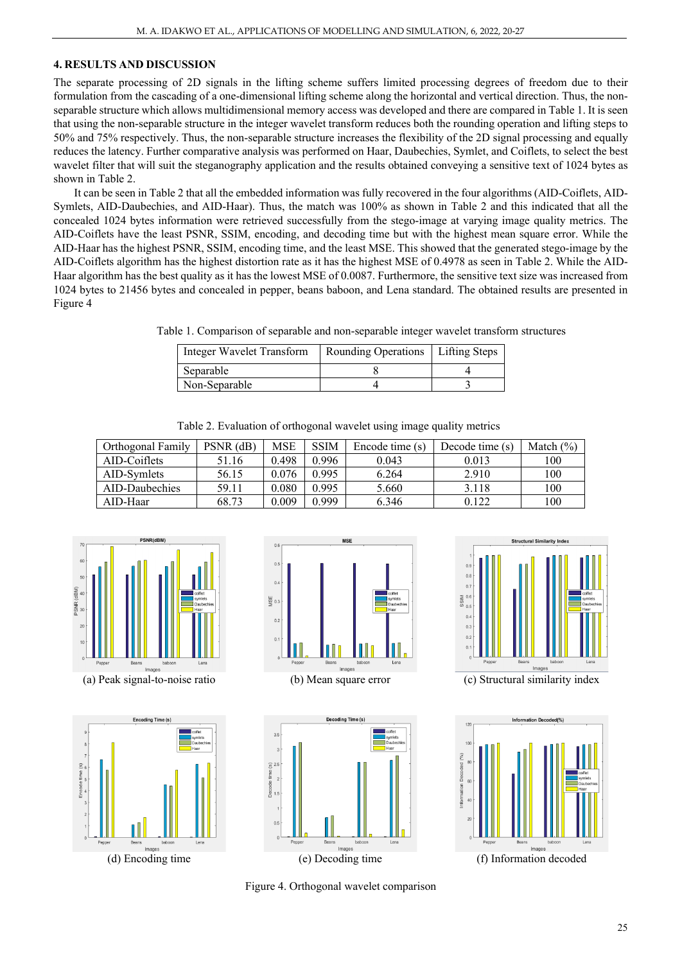# **4. RESULTS AND DISCUSSION**

The separate processing of 2D signals in the lifting scheme suffers limited processing degrees of freedom due to their formulation from the cascading of a one-dimensional lifting scheme along the horizontal and vertical direction. Thus, the nonseparable structure which allows multidimensional memory access was developed and there are compared in Table 1. It is seen that using the non-separable structure in the integer wavelet transform reduces both the rounding operation and lifting steps to 50% and 75% respectively. Thus, the non-separable structure increases the flexibility of the 2D signal processing and equally reduces the latency. Further comparative analysis was performed on Haar, Daubechies, Symlet, and Coiflets, to select the best wavelet filter that will suit the steganography application and the results obtained conveying a sensitive text of 1024 bytes as shown in Table 2.

It can be seen in Table 2 that all the embedded information was fully recovered in the four algorithms (AID-Coiflets, AID-Symlets, AID-Daubechies, and AID-Haar). Thus, the match was 100% as shown in Table 2 and this indicated that all the concealed 1024 bytes information were retrieved successfully from the stego-image at varying image quality metrics. The AID-Coiflets have the least PSNR, SSIM, encoding, and decoding time but with the highest mean square error. While the AID-Haar has the highest PSNR, SSIM, encoding time, and the least MSE. This showed that the generated stego-image by the AID-Coiflets algorithm has the highest distortion rate as it has the highest MSE of 0.4978 as seen in Table 2. While the AID-Haar algorithm has the best quality as it has the lowest MSE of 0.0087. Furthermore, the sensitive text size was increased from 1024 bytes to 21456 bytes and concealed in pepper, beans baboon, and Lena standard. The obtained results are presented in Figure 4

Table 1. Comparison of separable and non-separable integer wavelet transform structures

| Integer Wavelet Transform | Rounding Operations   Lifting Steps |  |
|---------------------------|-------------------------------------|--|
| Separable                 |                                     |  |
| Non-Separable             |                                     |  |

Table 2. Evaluation of orthogonal wavelet using image quality metrics

| Orthogonal Family | PSNR (dB) | <b>MSE</b> | <b>SSIM</b> | Encode time (s) | Decode time (s) | Match $(\%)$ |
|-------------------|-----------|------------|-------------|-----------------|-----------------|--------------|
| AID-Coiflets      | 51.16     | 0.498      | 0.996       | 0.043           | 0.013           | 100          |
| AID-Symlets       | 56.15     | 0.076      | 0.995       | 6.264           | 2.910           | 100          |
| AID-Daubechies    | 59.11     | ${0.080}$  | 0.995       | 5.660           | 3.118           | 100          |
| AID-Haar          | 68.73     | 0.009      | 0.999       | 6.346           | 0.122           | 100          |



(a) Peak signal-to-noise ratio (b) Mean square error (c) Structural similarity index







**Structural Similarity Inde** 



Figure 4. Orthogonal wavelet comparison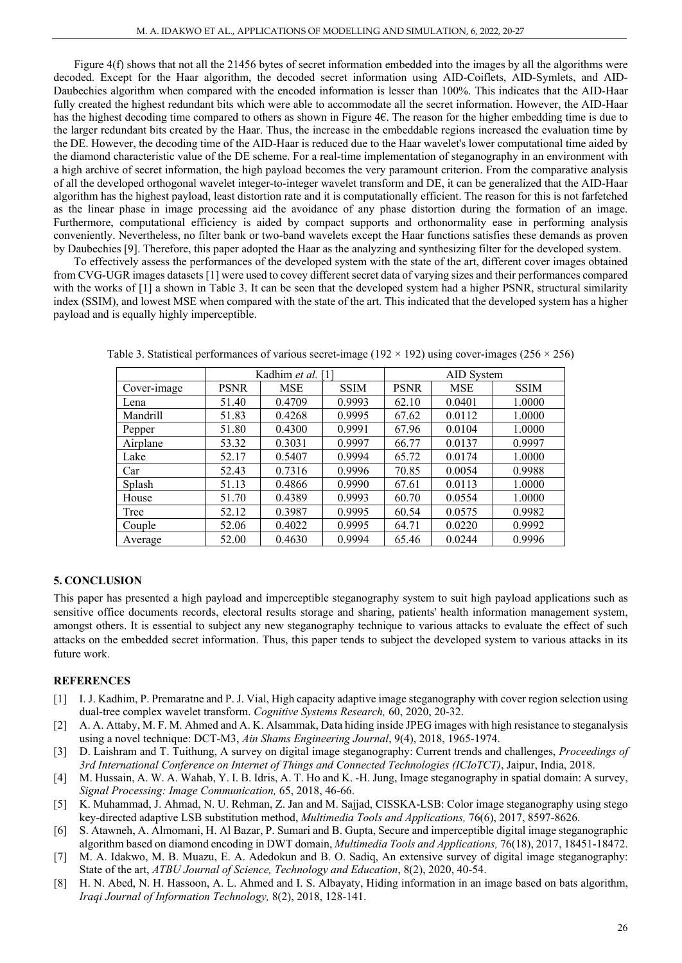Figure 4(f) shows that not all the 21456 bytes of secret information embedded into the images by all the algorithms were decoded. Except for the Haar algorithm, the decoded secret information using AID-Coiflets, AID-Symlets, and AID-Daubechies algorithm when compared with the encoded information is lesser than 100%. This indicates that the AID-Haar fully created the highest redundant bits which were able to accommodate all the secret information. However, the AID-Haar has the highest decoding time compared to others as shown in Figure 4€. The reason for the higher embedding time is due to the larger redundant bits created by the Haar. Thus, the increase in the embeddable regions increased the evaluation time by the DE. However, the decoding time of the AID-Haar is reduced due to the Haar wavelet's lower computational time aided by the diamond characteristic value of the DE scheme. For a real-time implementation of steganography in an environment with a high archive of secret information, the high payload becomes the very paramount criterion. From the comparative analysis of all the developed orthogonal wavelet integer-to-integer wavelet transform and DE, it can be generalized that the AID-Haar algorithm has the highest payload, least distortion rate and it is computationally efficient. The reason for this is not farfetched as the linear phase in image processing aid the avoidance of any phase distortion during the formation of an image. Furthermore, computational efficiency is aided by compact supports and orthonormality ease in performing analysis conveniently. Nevertheless, no filter bank or two-band wavelets except the Haar functions satisfies these demands as proven by Daubechies [9]. Therefore, this paper adopted the Haar as the analyzing and synthesizing filter for the developed system.

To effectively assess the performances of the developed system with the state of the art, different cover images obtained from CVG-UGR images datasets [1] were used to covey different secret data of varying sizes and their performances compared with the works of [1] a shown in Table 3. It can be seen that the developed system had a higher PSNR, structural similarity index (SSIM), and lowest MSE when compared with the state of the art. This indicated that the developed system has a higher payload and is equally highly imperceptible.

|             |             | Kadhim et al. [1] |             | AID System  |            |             |
|-------------|-------------|-------------------|-------------|-------------|------------|-------------|
| Cover-image | <b>PSNR</b> | <b>MSE</b>        | <b>SSIM</b> | <b>PSNR</b> | <b>MSE</b> | <b>SSIM</b> |
| Lena        | 51.40       | 0.4709            | 0.9993      | 62.10       | 0.0401     | 1.0000      |
| Mandrill    | 51.83       | 0.4268            | 0.9995      | 67.62       | 0.0112     | 1.0000      |
| Pepper      | 51.80       | 0.4300            | 0.9991      | 67.96       | 0.0104     | 1.0000      |
| Airplane    | 53.32       | 0.3031            | 0.9997      | 66.77       | 0.0137     | 0.9997      |
| Lake        | 52.17       | 0.5407            | 0.9994      | 65.72       | 0.0174     | 1.0000      |
| Car         | 52.43       | 0.7316            | 0.9996      | 70.85       | 0.0054     | 0.9988      |
| Splash      | 51.13       | 0.4866            | 0.9990      | 67.61       | 0.0113     | 1.0000      |
| House       | 51.70       | 0.4389            | 0.9993      | 60.70       | 0.0554     | 1.0000      |
| Tree        | 52.12       | 0.3987            | 0.9995      | 60.54       | 0.0575     | 0.9982      |
| Couple      | 52.06       | 0.4022            | 0.9995      | 64.71       | 0.0220     | 0.9992      |
| Average     | 52.00       | 0.4630            | 0.9994      | 65.46       | 0.0244     | 0.9996      |

Table 3. Statistical performances of various secret-image ( $192 \times 192$ ) using cover-images ( $256 \times 256$ )

# **5. CONCLUSION**

This paper has presented a high payload and imperceptible steganography system to suit high payload applications such as sensitive office documents records, electoral results storage and sharing, patients' health information management system, amongst others. It is essential to subject any new steganography technique to various attacks to evaluate the effect of such attacks on the embedded secret information. Thus, this paper tends to subject the developed system to various attacks in its future work.

# **REFERENCES**

- [1] I. J. Kadhim, P. Premaratne and P. J. Vial, High capacity adaptive image steganography with cover region selection using dual-tree complex wavelet transform. *Cognitive Systems Research,* 60, 2020, 20-32.
- [2] A. A. Attaby, M. F. M. Ahmed and A. K. Alsammak, Data hiding inside JPEG images with high resistance to steganalysis using a novel technique: DCT-M3, *Ain Shams Engineering Journal*, 9(4), 2018, 1965-1974.
- [3] D. Laishram and T. Tuithung, A survey on digital image steganography: Current trends and challenges, *Proceedings of 3rd International Conference on Internet of Things and Connected Technologies (ICIoTCT)*, Jaipur, India, 2018.
- [4] M. Hussain, A. W. A. Wahab, Y. I. B. Idris, A. T. Ho and K. -H. Jung, Image steganography in spatial domain: A survey, *Signal Processing: Image Communication,* 65, 2018, 46-66.
- [5] K. Muhammad, J. Ahmad, N. U. Rehman, Z. Jan and M. Sajjad, CISSKA-LSB: Color image steganography using stego key-directed adaptive LSB substitution method, *Multimedia Tools and Applications,* 76(6), 2017, 8597-8626.
- [6] S. Atawneh, A. Almomani, H. Al Bazar, P. Sumari and B. Gupta, Secure and imperceptible digital image steganographic algorithm based on diamond encoding in DWT domain, *Multimedia Tools and Applications,* 76(18), 2017, 18451-18472.
- [7] M. A. Idakwo, M. B. Muazu, E. A. Adedokun and B. O. Sadiq, An extensive survey of digital image steganography: State of the art, *ATBU Journal of Science, Technology and Education*, 8(2), 2020, 40-54.
- [8] H. N. Abed, N. H. Hassoon, A. L. Ahmed and I. S. Albayaty, Hiding information in an image based on bats algorithm, *Iraqi Journal of Information Technology,* 8(2), 2018, 128-141.